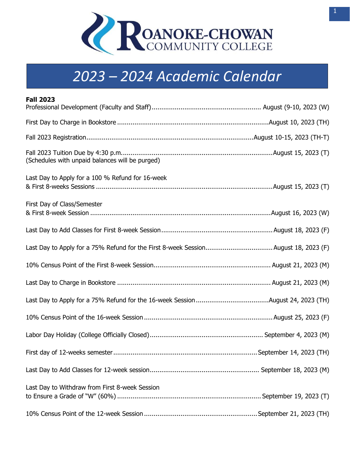

## **2023-2024 Academic Calendar** *2023 – 2024 Academic Calendar*

| <b>Fall 2023</b>                                 |
|--------------------------------------------------|
|                                                  |
|                                                  |
|                                                  |
| (Schedules with unpaid balances will be purged)  |
| Last Day to Apply for a 100 % Refund for 16-week |
| First Day of Class/Semester                      |
|                                                  |
|                                                  |
|                                                  |
|                                                  |
|                                                  |
|                                                  |
|                                                  |
|                                                  |
|                                                  |
| Last Day to Withdraw from First 8-week Session   |
|                                                  |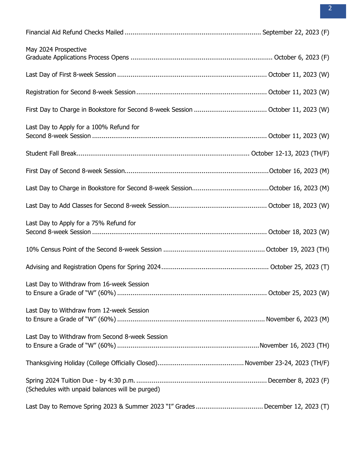| May 2024 Prospective                            |  |
|-------------------------------------------------|--|
|                                                 |  |
|                                                 |  |
|                                                 |  |
| Last Day to Apply for a 100% Refund for         |  |
|                                                 |  |
|                                                 |  |
|                                                 |  |
|                                                 |  |
| Last Day to Apply for a 75% Refund for          |  |
|                                                 |  |
|                                                 |  |
| Last Day to Withdraw from 16-week Session       |  |
| Last Day to Withdraw from 12-week Session       |  |
| Last Day to Withdraw from Second 8-week Session |  |
|                                                 |  |
| (Schedules with unpaid balances will be purged) |  |
|                                                 |  |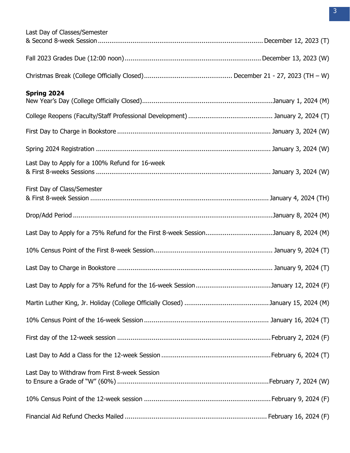| Last Day of Classes/Semester                                                       |  |
|------------------------------------------------------------------------------------|--|
|                                                                                    |  |
|                                                                                    |  |
|                                                                                    |  |
| Spring 2024                                                                        |  |
|                                                                                    |  |
|                                                                                    |  |
|                                                                                    |  |
|                                                                                    |  |
| Last Day to Apply for a 100% Refund for 16-week                                    |  |
|                                                                                    |  |
| First Day of Class/Semester                                                        |  |
|                                                                                    |  |
|                                                                                    |  |
| Last Day to Apply for a 75% Refund for the First 8-week SessionJanuary 8, 2024 (M) |  |
|                                                                                    |  |
|                                                                                    |  |
|                                                                                    |  |
|                                                                                    |  |
|                                                                                    |  |
|                                                                                    |  |
|                                                                                    |  |
| Last Day to Withdraw from First 8-week Session                                     |  |
|                                                                                    |  |
|                                                                                    |  |
|                                                                                    |  |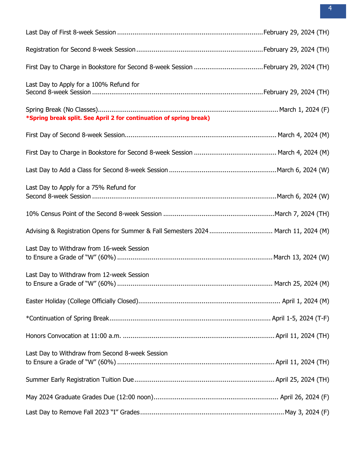| Last Day to Apply for a 100% Refund for                                           |  |
|-----------------------------------------------------------------------------------|--|
| *Spring break split. See April 2 for continuation of spring break)                |  |
|                                                                                   |  |
|                                                                                   |  |
|                                                                                   |  |
| Last Day to Apply for a 75% Refund for                                            |  |
|                                                                                   |  |
| Advising & Registration Opens for Summer & Fall Semesters 2024 March 11, 2024 (M) |  |
| Last Day to Withdraw from 16-week Session                                         |  |
| Last Day to Withdraw from 12-week Session                                         |  |
|                                                                                   |  |
|                                                                                   |  |
|                                                                                   |  |
| Last Day to Withdraw from Second 8-week Session                                   |  |
|                                                                                   |  |
|                                                                                   |  |
|                                                                                   |  |